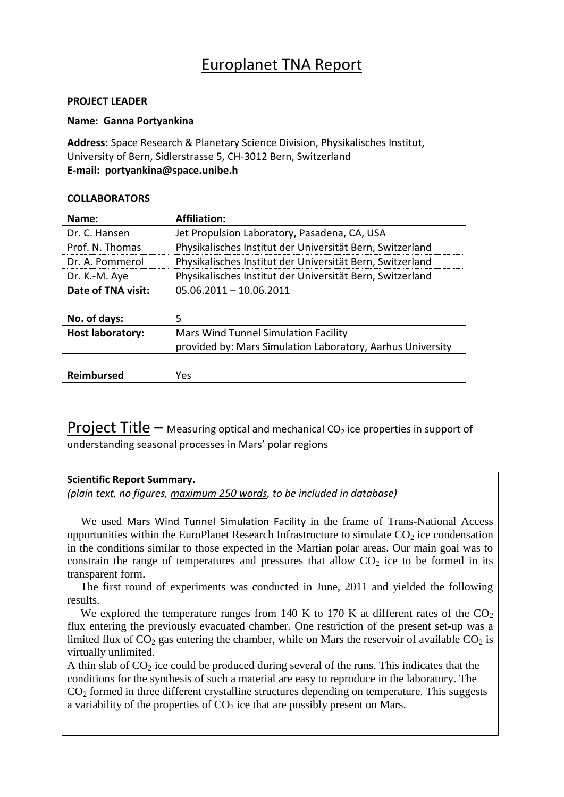# Europlanet TNA Report

## **PROJECT LEADER**

|  |  | Name: Ganna Portyankina |
|--|--|-------------------------|
|--|--|-------------------------|

**Address:** Space Research & Planetary Science Division, Physikalisches Institut, University of Bern, Sidlerstrasse 5, CH-3012 Bern, Switzerland **E-mail: portyankina@space.unibe.h**

## **COLLABORATORS**

| Name:                   | <b>Affiliation:</b>                                        |  |
|-------------------------|------------------------------------------------------------|--|
| Dr. C. Hansen           | Jet Propulsion Laboratory, Pasadena, CA, USA               |  |
| Prof. N. Thomas         | Physikalisches Institut der Universität Bern, Switzerland  |  |
| Dr. A. Pommerol         | Physikalisches Institut der Universität Bern, Switzerland  |  |
| Dr. K.-M. Aye           | Physikalisches Institut der Universität Bern, Switzerland  |  |
| Date of TNA visit:      | $05.06.2011 - 10.06.2011$                                  |  |
|                         |                                                            |  |
| No. of days:            | 5                                                          |  |
| <b>Host laboratory:</b> | Mars Wind Tunnel Simulation Facility                       |  |
|                         | provided by: Mars Simulation Laboratory, Aarhus University |  |
|                         |                                                            |  |
| <b>Reimbursed</b>       | Yes                                                        |  |

**Project Title –** Measuring optical and mechanical CO<sub>2</sub> ice properties in support of understanding seasonal processes in Mars' polar regions

## **Scientific Report Summary.**

*(plain text, no figures, maximum 250 words, to be included in database)*

We used Mars Wind Tunnel Simulation Facility in the frame of Trans-National Access opportunities within the EuroPlanet Research Infrastructure to simulate  $CO<sub>2</sub>$  ice condensation in the conditions similar to those expected in the Martian polar areas. Our main goal was to constrain the range of temperatures and pressures that allow  $CO<sub>2</sub>$  ice to be formed in its transparent form.

The first round of experiments was conducted in June, 2011 and yielded the following results.

We explored the temperature ranges from 140 K to 170 K at different rates of the  $CO<sub>2</sub>$ flux entering the previously evacuated chamber. One restriction of the present set-up was a limited flux of  $CO_2$  gas entering the chamber, while on Mars the reservoir of available  $CO_2$  is virtually unlimited.

A thin slab of  $CO<sub>2</sub>$  ice could be produced during several of the runs. This indicates that the conditions for the synthesis of such a material are easy to reproduce in the laboratory. The  $CO<sub>2</sub>$  formed in three different crystalline structures depending on temperature. This suggests a variability of the properties of  $CO<sub>2</sub>$  ice that are possibly present on Mars.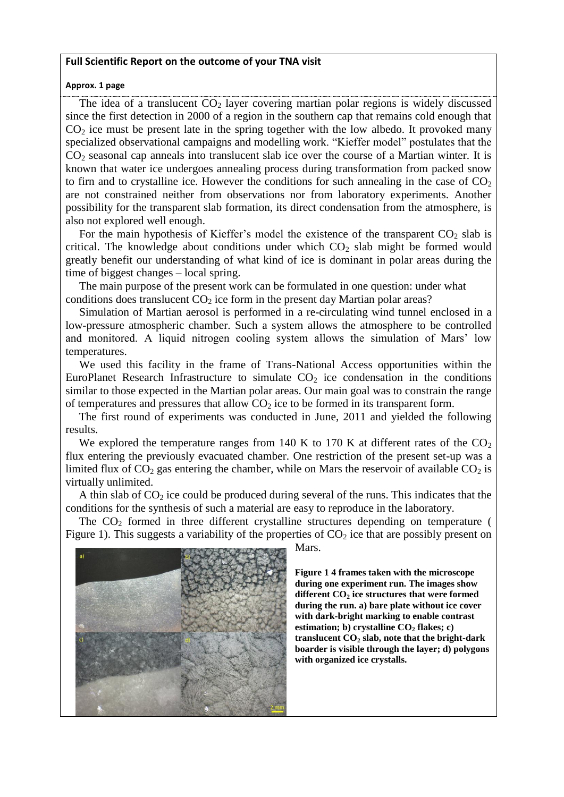### **Full Scientific Report on the outcome of your TNA visit**

#### **Approx. 1 page**

The idea of a translucent  $CO<sub>2</sub>$  layer covering martian polar regions is widely discussed since the first detection in 2000 of a region in the southern cap that remains cold enough that  $CO<sub>2</sub>$  ice must be present late in the spring together with the low albedo. It provoked many specialized observational campaigns and modelling work. "Kieffer model" postulates that the  $CO<sub>2</sub>$  seasonal cap anneals into translucent slab ice over the course of a Martian winter. It is known that water ice undergoes annealing process during transformation from packed snow to firn and to crystalline ice. However the conditions for such annealing in the case of  $CO<sub>2</sub>$ are not constrained neither from observations nor from laboratory experiments. Another possibility for the transparent slab formation, its direct condensation from the atmosphere, is also not explored well enough.

For the main hypothesis of Kieffer's model the existence of the transparent  $CO<sub>2</sub>$  slab is critical. The knowledge about conditions under which  $CO<sub>2</sub>$  slab might be formed would greatly benefit our understanding of what kind of ice is dominant in polar areas during the time of biggest changes – local spring.

The main purpose of the present work can be formulated in one question: under what conditions does translucent  $CO<sub>2</sub>$  ice form in the present day Martian polar areas?

Simulation of Martian aerosol is performed in a re-circulating wind tunnel enclosed in a low-pressure atmospheric chamber. Such a system allows the atmosphere to be controlled and monitored. A liquid nitrogen cooling system allows the simulation of Mars' low temperatures.

We used this facility in the frame of Trans-National Access opportunities within the EuroPlanet Research Infrastructure to simulate  $CO<sub>2</sub>$  ice condensation in the conditions similar to those expected in the Martian polar areas. Our main goal was to constrain the range of temperatures and pressures that allow  $CO<sub>2</sub>$  ice to be formed in its transparent form.

The first round of experiments was conducted in June, 2011 and yielded the following results.

We explored the temperature ranges from 140 K to 170 K at different rates of the  $CO<sub>2</sub>$ flux entering the previously evacuated chamber. One restriction of the present set-up was a limited flux of  $CO<sub>2</sub>$  gas entering the chamber, while on Mars the reservoir of available  $CO<sub>2</sub>$  is virtually unlimited.

A thin slab of  $CO<sub>2</sub>$  ice could be produced during several of the runs. This indicates that the conditions for the synthesis of such a material are easy to reproduce in the laboratory.

The  $CO<sub>2</sub>$  formed in three different crystalline structures depending on temperature ( [Figure 1\)](#page-1-0). This suggests a variability of the properties of  $CO<sub>2</sub>$  ice that are possibly present on



Mars.

<span id="page-1-0"></span>**Figure 1 4 frames taken with the microscope during one experiment run. The images show different CO<sup>2</sup> ice structures that were formed during the run. a) bare plate without ice cover with dark-bright marking to enable contrast estimation; b) crystalline CO<sup>2</sup> flakes; c) translucent CO<sup>2</sup> slab, note that the bright-dark boarder is visible through the layer; d) polygons with organized ice crystalls.**